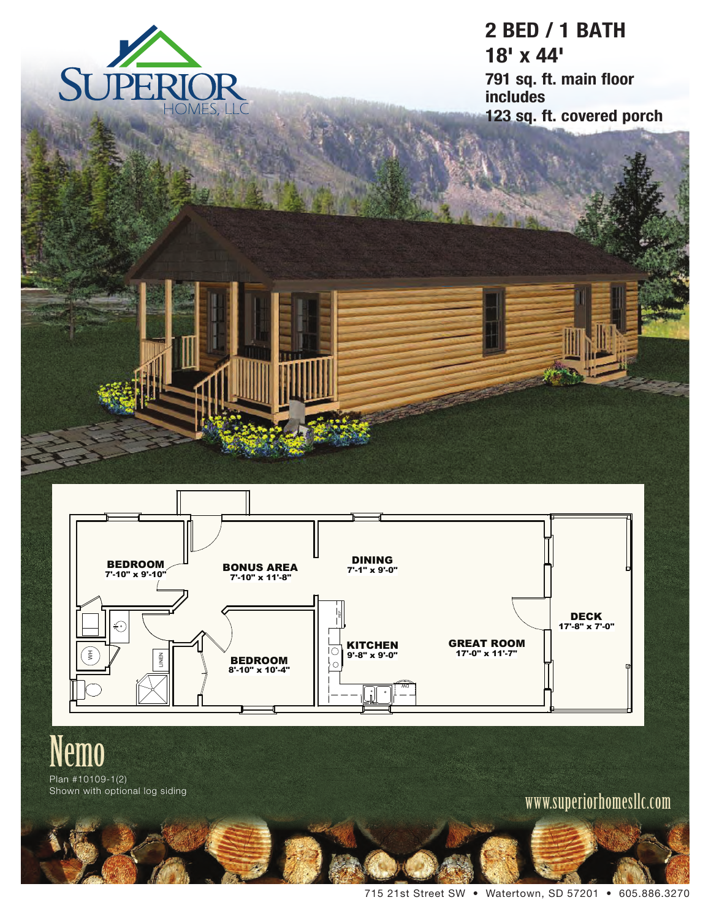

**2 BED / 1 BATH 18' x 44' 791 sq. ft. main floor includes 123 sq. ft. covered porch**



# Nemo

Plan #10109-1(2)<br>Shown with optional log siding